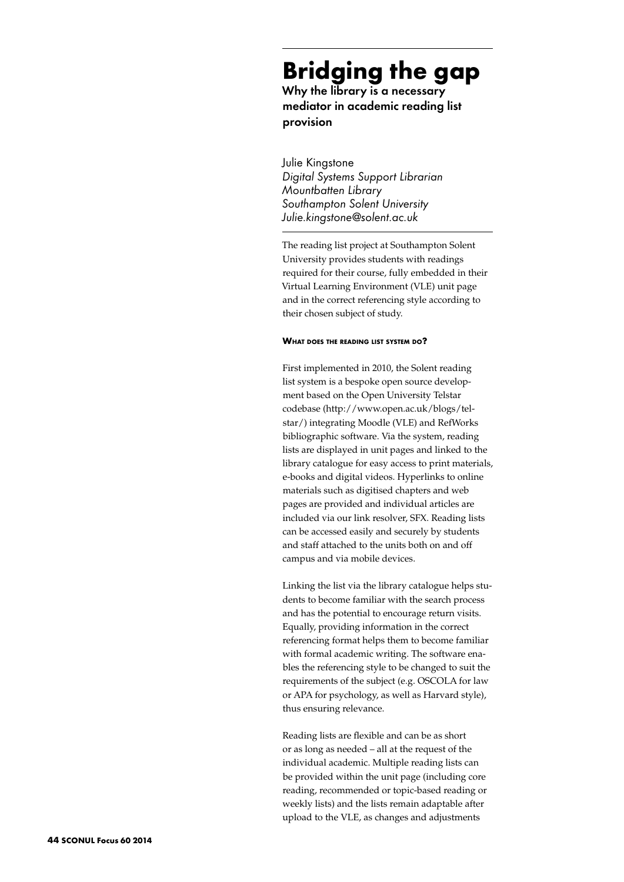# **Bridging the gap**

Why the library is a necessary mediator in academic reading list provision

Julie Kingstone *Digital Systems Support Librarian Mountbatten Library Southampton Solent University Julie.kingstone@solent.ac.uk*

The reading list project at Southampton Solent University provides students with readings required for their course, fully embedded in their Virtual Learning Environment (VLE) unit page and in the correct referencing style according to their chosen subject of study.

#### **What does the reading list system do?**

First implemented in 2010, the Solent reading list system is a bespoke open source development based on the Open University Telstar codebase (http://www.open.ac.uk/blogs/telstar/) integrating Moodle (VLE) and RefWorks bibliographic software. Via the system, reading lists are displayed in unit pages and linked to the library catalogue for easy access to print materials, e-books and digital videos. Hyperlinks to online materials such as digitised chapters and web pages are provided and individual articles are included via our link resolver, SFX. Reading lists can be accessed easily and securely by students and staff attached to the units both on and off campus and via mobile devices.

Linking the list via the library catalogue helps students to become familiar with the search process and has the potential to encourage return visits. Equally, providing information in the correct referencing format helps them to become familiar with formal academic writing. The software enables the referencing style to be changed to suit the requirements of the subject (e.g. OSCOLA for law or APA for psychology, as well as Harvard style), thus ensuring relevance.

Reading lists are flexible and can be as short or as long as needed – all at the request of the individual academic. Multiple reading lists can be provided within the unit page (including core reading, recommended or topic-based reading or weekly lists) and the lists remain adaptable after upload to the VLE, as changes and adjustments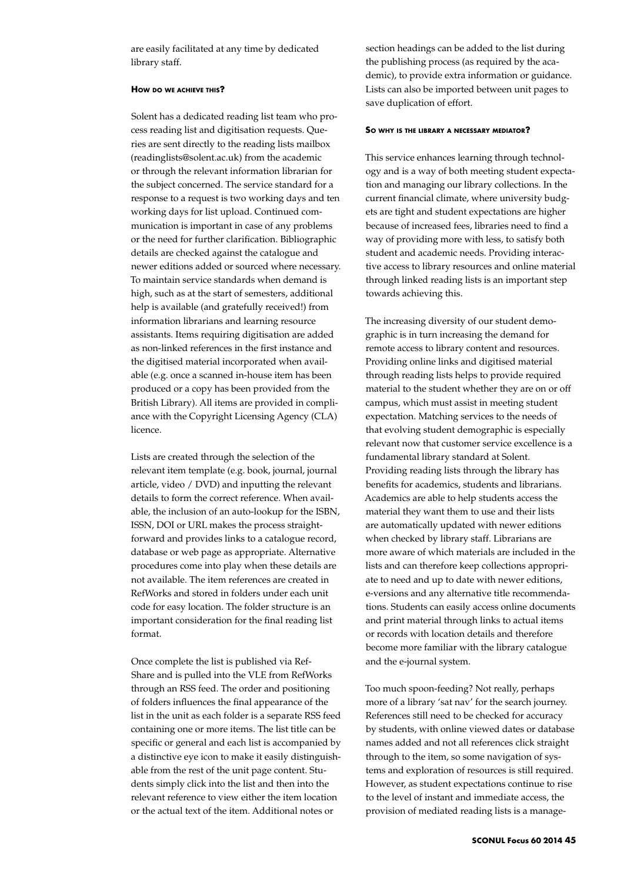are easily facilitated at any time by dedicated library staff.

## **How do we achieve this?**

Solent has a dedicated reading list team who process reading list and digitisation requests. Queries are sent directly to the reading lists mailbox (readinglists@solent.ac.uk) from the academic or through the relevant information librarian for the subject concerned. The service standard for a response to a request is two working days and ten working days for list upload. Continued communication is important in case of any problems or the need for further clarification. Bibliographic details are checked against the catalogue and newer editions added or sourced where necessary. To maintain service standards when demand is high, such as at the start of semesters, additional help is available (and gratefully received!) from information librarians and learning resource assistants. Items requiring digitisation are added as non-linked references in the first instance and the digitised material incorporated when available (e.g. once a scanned in-house item has been produced or a copy has been provided from the British Library). All items are provided in compliance with the Copyright Licensing Agency (CLA) licence.

Lists are created through the selection of the relevant item template (e.g. book, journal, journal article, video / DVD) and inputting the relevant details to form the correct reference. When available, the inclusion of an auto-lookup for the ISBN, ISSN, DOI or URL makes the process straightforward and provides links to a catalogue record, database or web page as appropriate. Alternative procedures come into play when these details are not available. The item references are created in RefWorks and stored in folders under each unit code for easy location. The folder structure is an important consideration for the final reading list format.

Once complete the list is published via Ref-Share and is pulled into the VLE from RefWorks through an RSS feed. The order and positioning of folders influences the final appearance of the list in the unit as each folder is a separate RSS feed containing one or more items. The list title can be specific or general and each list is accompanied by a distinctive eye icon to make it easily distinguishable from the rest of the unit page content. Students simply click into the list and then into the relevant reference to view either the item location or the actual text of the item. Additional notes or

section headings can be added to the list during the publishing process (as required by the academic), to provide extra information or guidance. Lists can also be imported between unit pages to save duplication of effort.

#### **So why is the library <sup>a</sup> necessary mediator?**

This service enhances learning through technology and is a way of both meeting student expectation and managing our library collections. In the current financial climate, where university budgets are tight and student expectations are higher because of increased fees, libraries need to find a way of providing more with less, to satisfy both student and academic needs. Providing interactive access to library resources and online material through linked reading lists is an important step towards achieving this.

The increasing diversity of our student demographic is in turn increasing the demand for remote access to library content and resources. Providing online links and digitised material through reading lists helps to provide required material to the student whether they are on or off campus, which must assist in meeting student expectation. Matching services to the needs of that evolving student demographic is especially relevant now that customer service excellence is a fundamental library standard at Solent. Providing reading lists through the library has benefits for academics, students and librarians. Academics are able to help students access the material they want them to use and their lists are automatically updated with newer editions when checked by library staff. Librarians are more aware of which materials are included in the lists and can therefore keep collections appropriate to need and up to date with newer editions, e-versions and any alternative title recommendations. Students can easily access online documents and print material through links to actual items or records with location details and therefore become more familiar with the library catalogue and the e-journal system.

Too much spoon-feeding? Not really, perhaps more of a library 'sat nav' for the search journey. References still need to be checked for accuracy by students, with online viewed dates or database names added and not all references click straight through to the item, so some navigation of systems and exploration of resources is still required. However, as student expectations continue to rise to the level of instant and immediate access, the provision of mediated reading lists is a manage